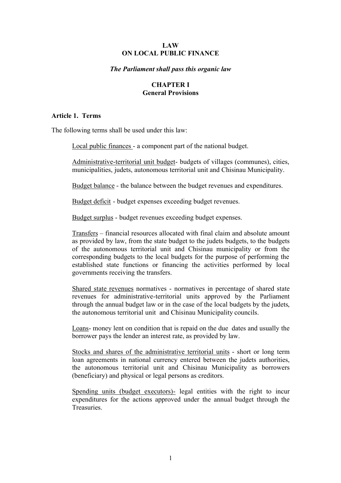### **LAW ON LOCAL PUBLIC FINANCE**

### *The Parliament shall pass this organic law*

## **CHAPTER I General Provisions**

#### **Article 1. Terms**

The following terms shall be used under this law:

Local public finances - a component part of the national budget.

Administrative-territorial unit budget- budgets of villages (communes), cities, municipalities, judets, autonomous territorial unit and Chisinau Municipality.

Budget balance - the balance between the budget revenues and expenditures.

Budget deficit - budget expenses exceeding budget revenues.

Budget surplus - budget revenues exceeding budget expenses.

Transfers – financial resources allocated with final claim and absolute amount as provided by law, from the state budget to the judets budgets, to the budgets of the autonomous territorial unit and Chisinau municipality or from the corresponding budgets to the local budgets for the purpose of performing the established state functions or financing the activities performed by local governments receiving the transfers.

Shared state revenues normatives - normatives in percentage of shared state revenues for administrative-territorial units approved by the Parliament through the annual budget law or in the case of the local budgets by the judets, the autonomous territorial unit and Chisinau Municipality councils.

Loans- money lent on condition that is repaid on the due dates and usually the borrower pays the lender an interest rate, as provided by law.

Stocks and shares of the administrative territorial units - short or long term loan agreements in national currency entered between the judets authorities, the autonomous territorial unit and Chisinau Municipality as borrowers (beneficiary) and physical or legal persons as creditors.

Spending units (budget executors)- legal entities with the right to incur expenditures for the actions approved under the annual budget through the **Treasuries**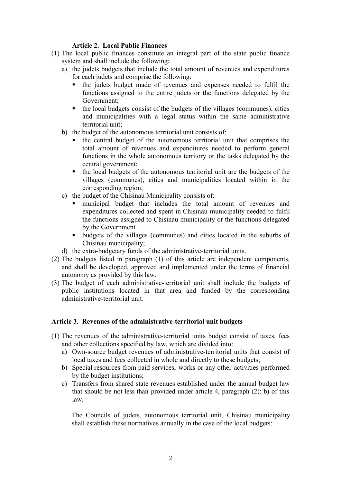## **Article 2. Local Public Finances**

- (1) The local public finances constitute an integral part of the state public finance system and shall include the following:
	- a) the judets budgets that include the total amount of revenues and expenditures for each judets and comprise the following:
		- ß the judets budget made of revenues and expenses needed to fulfil the functions assigned to the entire judets or the functions delegated by the Government;
		- $\bullet$  the local budgets consist of the budgets of the villages (communes), cities and municipalities with a legal status within the same administrative territorial unit;
	- b) the budget of the autonomous territorial unit consists of:
		- ß the central budget of the autonomous territorial unit that comprises the total amount of revenues and expenditures needed to perform general functions in the whole autonomous territory or the tasks delegated by the central government;
		- the local budgets of the autonomous territorial unit are the budgets of the villages (communes), cities and municipalities located within in the corresponding region;
	- c) the budget of the Chisinau Municipality consists of:
		- ß municipal budget that includes the total amount of revenues and expenditures collected and spent in Chisinau municipality needed to fulfil the functions assigned to Chisinau municipality or the functions delegated by the Government.
		- budgets of the villages (communes) and cities located in the suburbs of Chisinau municipality;
	- d) the extra-budgetary funds of the administrative-territorial units.
- (2) The budgets listed in paragraph (1) of this article are independent components, and shall be developed, approved and implemented under the terms of financial autonomy as provided by this law.
- (3) The budget of each administrative-territorial unit shall include the budgets of public institutions located in that area and funded by the corresponding administrative-territorial unit.

# **Article 3. Revenues of the administrative-territorial unit budgets**

- (1) The revenues of the administrative-territorial units budget consist of taxes, fees and other collections specified by law, which are divided into:
	- a) Own-source budget revenues of administrative-territorial units that consist of local taxes and fees collected in whole and directly to these budgets;
	- b) Special resources from paid services, works or any other activities performed by the budget institutions;
	- c) Transfers from shared state revenues established under the annual budget law that should be not less than provided under article 4, paragraph (2): b) of this law.

The Councils of judets, autonomous territorial unit, Chisinau municipality shall establish these normatives annually in the case of the local budgets: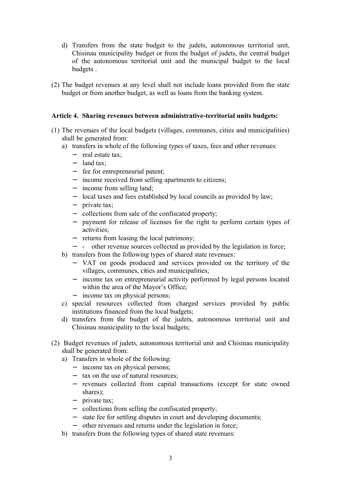- d) Transfers from the state budget to the judets, autonomous territorial unit, Chisinau municipality budget or from the budget of judets, the central budget of the autonomous territorial unit and the municipal budget to the local budgets .
- (2) The budget revenues at any level shall not include loans provided from the state budget or from another budget, as well as loans from the banking system.

## **Article 4. Sharing revenues between administrative-territorial units budgets:**

- (1) The revenues of the local budgets (villages, communes, cities and municipalities) shall be generated from:
	- a) transfers in whole of the following types of taxes, fees and other revenues:
		- − real estate tax;
		- − land tax;
		- − fee for entrepreneurial patent;
		- − income received from selling apartments to citizens;
		- − income from selling land;
		- − local taxes and fees established by local councils as provided by law;
		- − private tax;
		- − collections from sale of the confiscated property;
		- − payment for release of licenses for the right to perform certain types of activities;
		- − returns from leasing the local patrimony;
		- − other revenue sources collected as provided by the legislation in force;
	- b) transfers from the following types of shared state revenues:
		- − VAT on goods produced and services provided on the territory of the villages, communes, cities and municipalities;
		- − income tax on entrepreneurial activity performed by legal persons located within the area of the Mayor's Office;
		- − income tax on physical persons;
	- c) special resources collected from charged services provided by public institutions financed from the local budgets;
	- d) transfers from the budget of the judets, autonomous territorial unit and Chisinau municipality to the local budgets;
- (2) Budget revenues of judets, autonomous territorial unit and Chisinau municipality shall be generated from:
	- a) Transfers in whole of the following:
		- − income tax on physical persons;
		- − tax on the use of natural resources;
		- − revenues collected from capital transactions (except for state owned shares);
		- − private tax;
		- − collections from selling the confiscated property;
		- − state fee for settling disputes in court and developing documents;
		- − other revenues and returns under the legislation in force;
	- b) transfers from the following types of shared state revenues: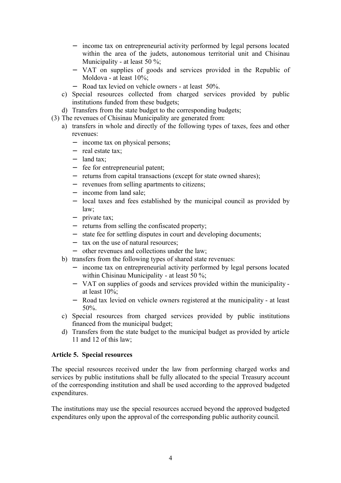- − income tax on entrepreneurial activity performed by legal persons located within the area of the judets, autonomous territorial unit and Chisinau Municipality - at least 50 %;
- − VAT on supplies of goods and services provided in the Republic of Moldova - at least 10%;
- − Road tax levied on vehicle owners at least 50%.
- c) Special resources collected from charged services provided by public institutions funded from these budgets;
- d) Transfers from the state budget to the corresponding budgets;
- (3) The revenues of Chisinau Municipality are generated from:
	- a) transfers in whole and directly of the following types of taxes, fees and other revenues:
		- − income tax on physical persons;
		- − real estate tax;
		- − land tax;
		- − fee for entrepreneurial patent;
		- − returns from capital transactions (except for state owned shares);
		- − revenues from selling apartments to citizens;
		- − income from land sale;
		- − local taxes and fees established by the municipal council as provided by law;
		- − private tax;
		- − returns from selling the confiscated property;
		- − state fee for settling disputes in court and developing documents;
		- − tax on the use of natural resources;
		- − other revenues and collections under the law;
	- b) transfers from the following types of shared state revenues:
		- − income tax on entrepreneurial activity performed by legal persons located within Chisinau Municipality - at least 50 %;
		- − VAT on supplies of goods and services provided within the municipality at least 10%;
		- − Road tax levied on vehicle owners registered at the municipality at least 50%.
	- c) Special resources from charged services provided by public institutions financed from the municipal budget;
	- d) Transfers from the state budget to the municipal budget as provided by article 11 and 12 of this law;

## **Article 5. Special resources**

The special resources received under the law from performing charged works and services by public institutions shall be fully allocated to the special Treasury account of the corresponding institution and shall be used according to the approved budgeted expenditures.

The institutions may use the special resources accrued beyond the approved budgeted expenditures only upon the approval of the corresponding public authority council.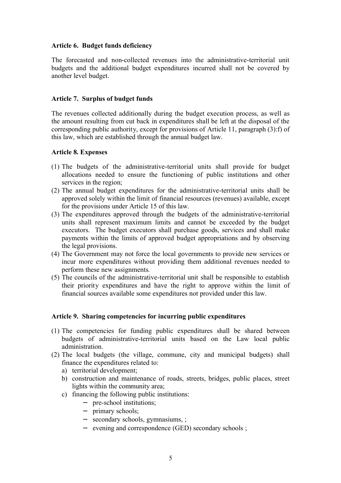## **Article 6. Budget funds deficiency**

The forecasted and non-collected revenues into the administrative-territorial unit budgets and the additional budget expenditures incurred shall not be covered by another level budget.

## **Article 7. Surplus of budget funds**

The revenues collected additionally during the budget execution process, as well as the amount resulting from cut back in expenditures shall be left at the disposal of the corresponding public authority, except for provisions of Article 11, paragraph (3):f) of this law, which are established through the annual budget law.

### **Article 8. Expenses**

- (1) The budgets of the administrative-territorial units shall provide for budget allocations needed to ensure the functioning of public institutions and other services in the region;
- (2) The annual budget expenditures for the administrative-territorial units shall be approved solely within the limit of financial resources (revenues) available, except for the provisions under Article 15 of this law.
- (3) The expenditures approved through the budgets of the administrative-territorial units shall represent maximum limits and cannot be exceeded by the budget executors. The budget executors shall purchase goods, services and shall make payments within the limits of approved budget appropriations and by observing the legal provisions.
- (4) The Government may not force the local governments to provide new services or incur more expenditures without providing them additional revenues needed to perform these new assignments.
- (5) The councils of the administrative-territorial unit shall be responsible to establish their priority expenditures and have the right to approve within the limit of financial sources available some expenditures not provided under this law.

### **Article 9. Sharing competencies for incurring public expenditures**

- (1) The competencies for funding public expenditures shall be shared between budgets of administrative-territorial units based on the Law local public administration.
- (2) The local budgets (the village, commune, city and municipal budgets) shall finance the expenditures related to:
	- a) territorial development;
	- b) construction and maintenance of roads, streets, bridges, public places, street lights within the community area;
	- c) financing the following public institutions:
		- − pre-school institutions;
		- − primary schools;
		- − secondary schools, gymnasiums, ;
		- − evening and correspondence (GED) secondary schools ;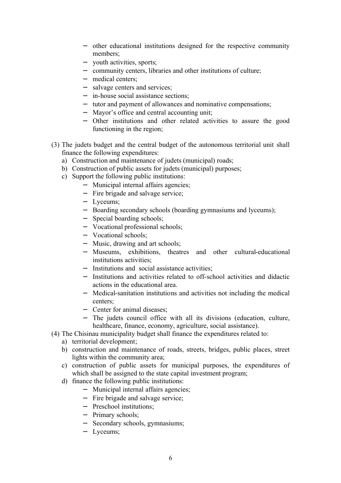- − other educational institutions designed for the respective community members;
- − youth activities, sports;
- − community centers, libraries and other institutions of culture;
- − medical centers;
- − salvage centers and services;
- − in-house social assistance sections;
- − tutor and payment of allowances and nominative compensations;
- − Mayor's office and central accounting unit;
- − Other institutions and other related activities to assure the good functioning in the region;
- (3) The judets budget and the central budget of the autonomous territorial unit shall finance the following expenditures:
	- a) Construction and maintenance of judets (municipal) roads;
	- b) Construction of public assets for judets (municipal) purposes;
	- c) Support the following public institutions:
		- − Municipal internal affairs agencies;
		- − Fire brigade and salvage service;
		- − Lyceums;
		- − Boarding secondary schools (boarding gymnasiums and lyceums);
		- − Special boarding schools;
		- − Vocational professional schools;
		- − Vocational schools;
		- − Music, drawing and art schools;
		- − Museums, exhibitions, theatres and other cultural-educational institutions activities;
		- − Institutions and social assistance activities;
		- − Institutions and activities related to off-school activities and didactic actions in the educational area.
		- − Medical-sanitation institutions and activities not including the medical centers;
		- − Center for animal diseases;
		- − The judets council office with all its divisions (education, culture, healthcare, finance, economy, agriculture, social assistance).
- (4) The Chisinau municipality budget shall finance the expenditures related to:
	- a) territorial development;
	- b) construction and maintenance of roads, streets, bridges, public places, street lights within the community area;
	- c) construction of public assets for municipal purposes, the expenditures of which shall be assigned to the state capital investment program;
	- d) finance the following public institutions:
		- − Municipal internal affairs agencies;
		- − Fire brigade and salvage service;
		- − Preschool institutions;
		- − Primary schools;
		- − Secondary schools, gymnasiums;
		- − Lyceums;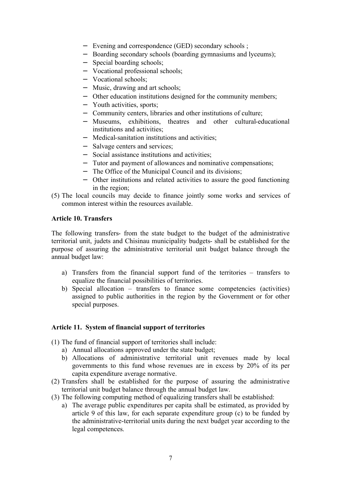- − Evening and correspondence (GED) secondary schools ;
- − Boarding secondary schools (boarding gymnasiums and lyceums);
- − Special boarding schools;
- − Vocational professional schools;
- − Vocational schools;
- − Music, drawing and art schools;
- − Other education institutions designed for the community members;
- − Youth activities, sports;
- − Community centers, libraries and other institutions of culture;
- − Museums, exhibitions, theatres and other cultural-educational institutions and activities;
- − Medical-sanitation institutions and activities;
- − Salvage centers and services;
- − Social assistance institutions and activities;
- − Tutor and payment of allowances and nominative compensations;
- − The Office of the Municipal Council and its divisions;
- − Other institutions and related activities to assure the good functioning in the region;
- (5) The local councils may decide to finance jointly some works and services of common interest within the resources available.

## **Article 10. Transfers**

The following transfers- from the state budget to the budget of the administrative territorial unit, judets and Chisinau municipality budgets- shall be established for the purpose of assuring the administrative territorial unit budget balance through the annual budget law:

- a) Transfers from the financial support fund of the territories transfers to equalize the financial possibilities of territories.
- b) Special allocation transfers to finance some competencies (activities) assigned to public authorities in the region by the Government or for other special purposes.

### **Article 11. System of financial support of territories**

- (1) The fund of financial support of territories shall include:
	- a) Annual allocations approved under the state budget;
	- b) Allocations of administrative territorial unit revenues made by local governments to this fund whose revenues are in excess by 20% of its per capita expenditure average normative.
- (2) Transfers shall be established for the purpose of assuring the administrative territorial unit budget balance through the annual budget law.
- (3) The following computing method of equalizing transfers shall be established:
	- a) The average public expenditures per capita shall be estimated, as provided by article 9 of this law, for each separate expenditure group (c) to be funded by the administrative-territorial units during the next budget year according to the legal competences.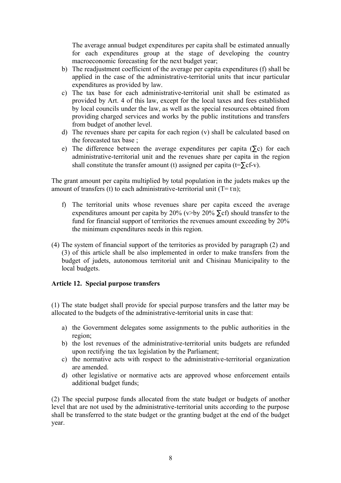The average annual budget expenditures per capita shall be estimated annually for each expenditures group at the stage of developing the country macroeconomic forecasting for the next budget year;

- b) The readjustment coefficient of the average per capita expenditures (f) shall be applied in the case of the administrative-territorial units that incur particular expenditures as provided by law.
- c) The tax base for each administrative-territorial unit shall be estimated as provided by Art. 4 of this law, except for the local taxes and fees established by local councils under the law, as well as the special resources obtained from providing charged services and works by the public institutions and transfers from budget of another level.
- d) The revenues share per capita for each region (v) shall be calculated based on the forecasted tax base ;
- e) The difference between the average expenditures per capita ( $\Sigma$ c) for each administrative-territorial unit and the revenues share per capita in the region shall constitute the transfer amount (t) assigned per capita (t= $\Sigma$ cf-v).

The grant amount per capita multiplied by total population in the judets makes up the amount of transfers (t) to each administrative-territorial unit  $(T = t n)$ ;

- f) The territorial units whose revenues share per capita exceed the average expenditures amount per capita by 20% (v>by 20%  $\Sigma$ cf) should transfer to the fund for financial support of territories the revenues amount exceeding by 20% the minimum expenditures needs in this region.
- (4) The system of financial support of the territories as provided by paragraph (2) and (3) of this article shall be also implemented in order to make transfers from the budget of judets, autonomous territorial unit and Chisinau Municipality to the local budgets.

### **Article 12. Special purpose transfers**

(1) The state budget shall provide for special purpose transfers and the latter may be allocated to the budgets of the administrative-territorial units in case that:

- a) the Government delegates some assignments to the public authorities in the region;
- b) the lost revenues of the administrative-territorial units budgets are refunded upon rectifying the tax legislation by the Parliament;
- c) the normative acts with respect to the administrative-territorial organization are amended.
- d) other legislative or normative acts are approved whose enforcement entails additional budget funds;

(2) The special purpose funds allocated from the state budget or budgets of another level that are not used by the administrative-territorial units according to the purpose shall be transferred to the state budget or the granting budget at the end of the budget year.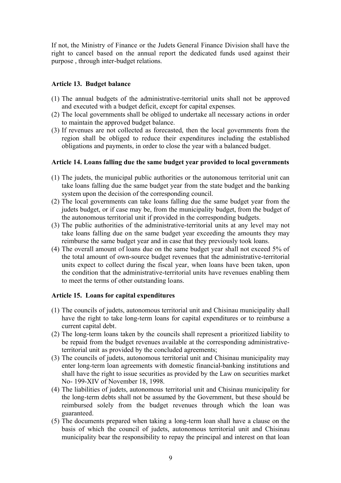If not, the Ministry of Finance or the Judets General Finance Division shall have the right to cancel based on the annual report the dedicated funds used against their purpose , through inter-budget relations.

# **Article 13. Budget balance**

- (1) The annual budgets of the administrative-territorial units shall not be approved and executed with a budget deficit, except for capital expenses.
- (2) The local governments shall be obliged to undertake all necessary actions in order to maintain the approved budget balance.
- (3) If revenues are not collected as forecasted, then the local governments from the region shall be obliged to reduce their expenditures including the established obligations and payments, in order to close the year with a balanced budget.

#### **Article 14. Loans falling due the same budget year provided to local governments**

- (1) The judets, the municipal public authorities or the autonomous territorial unit can take loans falling due the same budget year from the state budget and the banking system upon the decision of the corresponding council.
- (2) The local governments can take loans falling due the same budget year from the judets budget, or if case may be, from the municipality budget, from the budget of the autonomous territorial unit if provided in the corresponding budgets.
- (3) The public authorities of the administrative-territorial units at any level may not take loans falling due on the same budget year exceeding the amounts they may reimburse the same budget year and in case that they previously took loans.
- (4) The overall amount of loans due on the same budget year shall not exceed 5% of the total amount of own-source budget revenues that the administrative-territorial units expect to collect during the fiscal year, when loans have been taken, upon the condition that the administrative-territorial units have revenues enabling them to meet the terms of other outstanding loans.

### **Article 15. Loans for capital expenditures**

- (1) The councils of judets, autonomous territorial unit and Chisinau municipality shall have the right to take long-term loans for capital expenditures or to reimburse a current capital debt.
- (2) The long-term loans taken by the councils shall represent a prioritized liability to be repaid from the budget revenues available at the corresponding administrativeterritorial unit as provided by the concluded agreements;
- (3) The councils of judets, autonomous territorial unit and Chisinau municipality may enter long-term loan agreements with domestic financial-banking institutions and shall have the right to issue securities as provided by the Law on securities market No- 199-XIV of November 18, 1998.
- (4) The liabilities of judets, autonomous territorial unit and Chisinau municipality for the long-term debts shall not be assumed by the Government, but these should be reimbursed solely from the budget revenues through which the loan was guaranteed.
- (5) The documents prepared when taking a long-term loan shall have a clause on the basis of which the council of judets, autonomous territorial unit and Chisinau municipality bear the responsibility to repay the principal and interest on that loan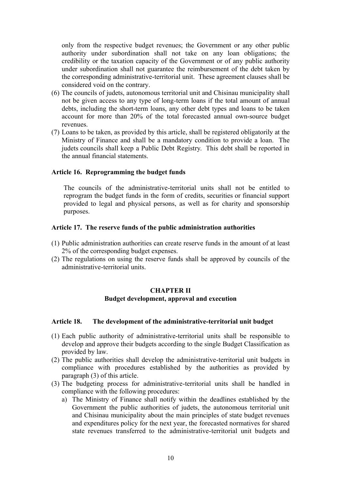only from the respective budget revenues; the Government or any other public authority under subordination shall not take on any loan obligations; the credibility or the taxation capacity of the Government or of any public authority under subordination shall not guarantee the reimbursement of the debt taken by the corresponding administrative-territorial unit. These agreement clauses shall be considered void on the contrary.

- (6) The councils of judets, autonomous territorial unit and Chisinau municipality shall not be given access to any type of long-term loans if the total amount of annual debts, including the short-term loans, any other debt types and loans to be taken account for more than 20% of the total forecasted annual own-source budget revenues.
- (7) Loans to be taken, as provided by this article, shall be registered obligatorily at the Ministry of Finance and shall be a mandatory condition to provide a loan. The judets councils shall keep a Public Debt Registry. This debt shall be reported in the annual financial statements.

### **Article 16. Reprogramming the budget funds**

The councils of the administrative-territorial units shall not be entitled to reprogram the budget funds in the form of credits, securities or financial support provided to legal and physical persons, as well as for charity and sponsorship purposes.

#### **Article 17. The reserve funds of the public administration authorities**

- (1) Public administration authorities can create reserve funds in the amount of at least 2% of the corresponding budget expenses.
- (2) The regulations on using the reserve funds shall be approved by councils of the administrative-territorial units.

# **CHAPTER II Budget development, approval and execution**

#### **Article 18. The development of the administrative-territorial unit budget**

- (1) Each public authority of administrative-territorial units shall be responsible to develop and approve their budgets according to the single Budget Classification as provided by law.
- (2) The public authorities shall develop the administrative-territorial unit budgets in compliance with procedures established by the authorities as provided by paragraph (3) of this article.
- (3) The budgeting process for administrative-territorial units shall be handled in compliance with the following procedures:
	- a) The Ministry of Finance shall notify within the deadlines established by the Government the public authorities of judets, the autonomous territorial unit and Chisinau municipality about the main principles of state budget revenues and expenditures policy for the next year, the forecasted normatives for shared state revenues transferred to the administrative-territorial unit budgets and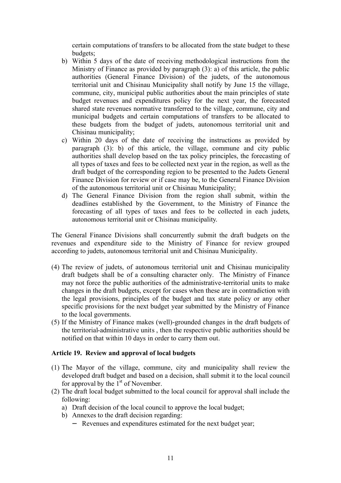certain computations of transfers to be allocated from the state budget to these budgets;

- b) Within 5 days of the date of receiving methodological instructions from the Ministry of Finance as provided by paragraph (3): a) of this article, the public authorities (General Finance Division) of the judets, of the autonomous territorial unit and Chisinau Municipality shall notify by June 15 the village, commune, city, municipal public authorities about the main principles of state budget revenues and expenditures policy for the next year, the forecasted shared state revenues normative transferred to the village, commune, city and municipal budgets and certain computations of transfers to be allocated to these budgets from the budget of judets, autonomous territorial unit and Chisinau municipality;
- c) Within 20 days of the date of receiving the instructions as provided by paragraph (3): b) of this article, the village, commune and city public authorities shall develop based on the tax policy principles, the forecasting of all types of taxes and fees to be collected next year in the region, as well as the draft budget of the corresponding region to be presented to the Judets General Finance Division for review or if case may be, to the General Finance Division of the autonomous territorial unit or Chisinau Municipality;
- d) The General Finance Division from the region shall submit, within the deadlines established by the Government, to the Ministry of Finance the forecasting of all types of taxes and fees to be collected in each judets, autonomous territorial unit or Chisinau municipality.

The General Finance Divisions shall concurrently submit the draft budgets on the revenues and expenditure side to the Ministry of Finance for review grouped according to judets, autonomous territorial unit and Chisinau Municipality.

- (4) The review of judets, of autonomous territorial unit and Chisinau municipality draft budgets shall be of a consulting character only. The Ministry of Finance may not force the public authorities of the administrative-territorial units to make changes in the draft budgets, except for cases when these are in contradiction with the legal provisions, principles of the budget and tax state policy or any other specific provisions for the next budget year submitted by the Ministry of Finance to the local governments.
- (5) If the Ministry of Finance makes (well)-grounded changes in the draft budgets of the territorial-administrative units , then the respective public authorities should be notified on that within 10 days in order to carry them out.

### **Article 19. Review and approval of local budgets**

- (1) The Mayor of the village, commune, city and municipality shall review the developed draft budget and based on a decision, shall submit it to the local council for approval by the  $1<sup>st</sup>$  of November.
- (2) The draft local budget submitted to the local council for approval shall include the following:
	- a) Draft decision of the local council to approve the local budget;
	- b) Annexes to the draft decision regarding:
		- − Revenues and expenditures estimated for the next budget year;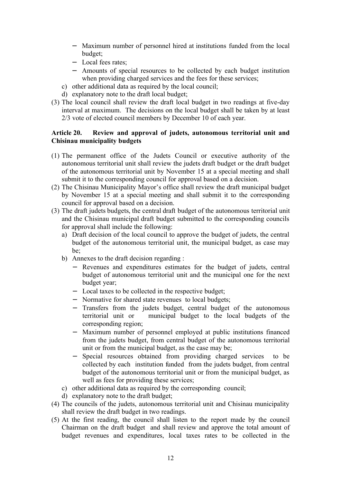- − Maximum number of personnel hired at institutions funded from the local budget;
- − Local fees rates;
- − Amounts of special resources to be collected by each budget institution when providing charged services and the fees for these services;
- c) other additional data as required by the local council;
- d) explanatory note to the draft local budget;
- (3) The local council shall review the draft local budget in two readings at five-day interval at maximum. The decisions on the local budget shall be taken by at least 2/3 vote of elected council members by December 10 of each year.

## **Article 20. Review and approval of judets, autonomous territorial unit and Chisinau municipality budgets**

- (1) The permanent office of the Judets Council or executive authority of the autonomous territorial unit shall review the judets draft budget or the draft budget of the autonomous territorial unit by November 15 at a special meeting and shall submit it to the corresponding council for approval based on a decision.
- (2) The Chisinau Municipality Mayor's office shall review the draft municipal budget by November 15 at a special meeting and shall submit it to the corresponding council for approval based on a decision.
- (3) The draft judets budgets, the central draft budget of the autonomous territorial unit and the Chisinau municipal draft budget submitted to the corresponding councils for approval shall include the following:
	- a) Draft decision of the local council to approve the budget of judets, the central budget of the autonomous territorial unit, the municipal budget, as case may be;
	- b) Annexes to the draft decision regarding :
		- − Revenues and expenditures estimates for the budget of judets, central budget of autonomous territorial unit and the municipal one for the next budget year;
		- − Local taxes to be collected in the respective budget;
		- − Normative for shared state revenues to local budgets;
		- − Transfers from the judets budget, central budget of the autonomous territorial unit or municipal budget to the local budgets of the corresponding region;
		- − Maximum number of personnel employed at public institutions financed from the judets budget, from central budget of the autonomous territorial unit or from the municipal budget, as the case may be;
		- − Special resources obtained from providing charged services to be collected by each institution funded from the judets budget, from central budget of the autonomous territorial unit or from the municipal budget, as well as fees for providing these services;
	- c) other additional data as required by the corresponding council;
	- d) explanatory note to the draft budget;
- (4) The councils of the judets, autonomous territorial unit and Chisinau municipality shall review the draft budget in two readings.
- (5) At the first reading, the council shall listen to the report made by the council Chairman on the draft budget and shall review and approve the total amount of budget revenues and expenditures, local taxes rates to be collected in the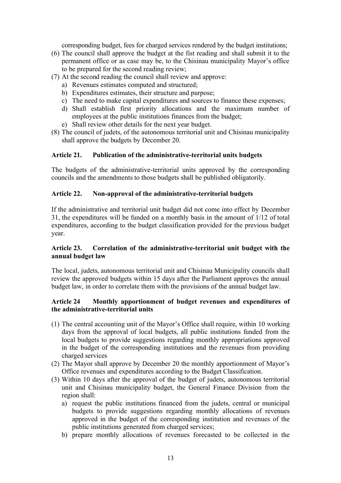corresponding budget, fees for charged services rendered by the budget institutions;

- (6) The council shall approve the budget at the fist reading and shall submit it to the permanent office or as case may be, to the Chisinau municipality Mayor's office to be prepared for the second reading review;
- (7) At the second reading the council shall review and approve:
	- a) Revenues estimates computed and structured;
	- b) Expenditures estimates, their structure and purpose;
	- c) The need to make capital expenditures and sources to finance these expenses;
	- d) Shall establish first priority allocations and the maximum number of employees at the public institutions finances from the budget;
	- e) Shall review other details for the next year budget.
- (8) The council of judets, of the autonomous territorial unit and Chisinau municipality shall approve the budgets by December 20.

# **Article 21. Publication of the administrative-territorial units budgets**

The budgets of the administrative-territorial units approved by the corresponding councils and the amendments to those budgets shall be published obligatorily.

## **Article 22. Non-approval of the administrative-territorial budgets**

If the administrative and territorial unit budget did not come into effect by December 31, the expenditures will be funded on a monthly basis in the amount of 1/12 of total expenditures, according to the budget classification provided for the previous budget year.

## **Article 23. Correlation of the administrative-territorial unit budget with the annual budget law**

The local, judets, autonomous territorial unit and Chisinau Municipality councils shall review the approved budgets within 15 days after the Parliament approves the annual budget law, in order to correlate them with the provisions of the annual budget law.

### **Article 24 Monthly apportionment of budget revenues and expenditures of the administrative-territorial units**

- (1) The central accounting unit of the Mayor's Office shall require, within 10 working days from the approval of local budgets, all public institutions funded from the local budgets to provide suggestions regarding monthly appropriations approved in the budget of the corresponding institutions and the revenues from providing charged services
- (2) The Mayor shall approve by December 20 the monthly apportionment of Mayor's Office revenues and expenditures according to the Budget Classification.
- (3) Within 10 days after the approval of the budget of judets, autonomous territorial unit and Chisinau municipality budget, the General Finance Division from the region shall:
	- a) request the public institutions financed from the judets, central or municipal budgets to provide suggestions regarding monthly allocations of revenues approved in the budget of the corresponding institution and revenues of the public institutions generated from charged services;
	- b) prepare monthly allocations of revenues forecasted to be collected in the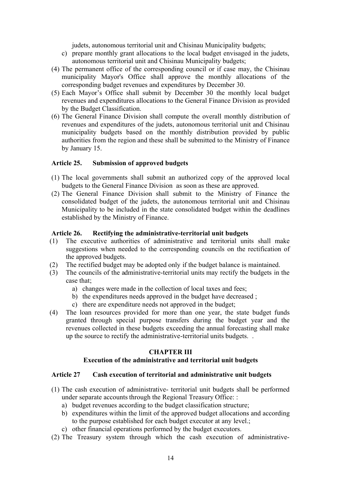judets, autonomous territorial unit and Chisinau Municipality budgets;

- c) prepare monthly grant allocations to the local budget envisaged in the judets, autonomous territorial unit and Chisinau Municipality budgets;
- (4) The permanent office of the corresponding council or if case may, the Chisinau municipality Mayor's Office shall approve the monthly allocations of the corresponding budget revenues and expenditures by December 30.
- (5) Each Mayor's Office shall submit by December 30 the monthly local budget revenues and expenditures allocations to the General Finance Division as provided by the Budget Classification.
- (6) The General Finance Division shall compute the overall monthly distribution of revenues and expenditures of the judets, autonomous territorial unit and Chisinau municipality budgets based on the monthly distribution provided by public authorities from the region and these shall be submitted to the Ministry of Finance by January 15.

### **Article 25. Submission of approved budgets**

- (1) The local governments shall submit an authorized copy of the approved local budgets to the General Finance Division as soon as these are approved.
- (2) The General Finance Division shall submit to the Ministry of Finance the consolidated budget of the judets, the autonomous territorial unit and Chisinau Municipality to be included in the state consolidated budget within the deadlines established by the Ministry of Finance.

## **Article 26. Rectifying the administrative-territorial unit budgets**

- (1) The executive authorities of administrative and territorial units shall make suggestions when needed to the corresponding councils on the rectification of the approved budgets.
- (2) The rectified budget may be adopted only if the budget balance is maintained.
- (3) The councils of the administrative-territorial units may rectify the budgets in the case that:
	- a) changes were made in the collection of local taxes and fees;
	- b) the expenditures needs approved in the budget have decreased ;
	- c) there are expenditure needs not approved in the budget;
- (4) The loan resources provided for more than one year, the state budget funds granted through special purpose transfers during the budget year and the revenues collected in these budgets exceeding the annual forecasting shall make up the source to rectify the administrative-territorial units budgets. .

# **CHAPTER III**

# **Execution of the administrative and territorial unit budgets**

### **Article 27 Cash execution of territorial and administrative unit budgets**

- (1) The cash execution of administrative- territorial unit budgets shall be performed under separate accounts through the Regional Treasury Office: :
	- a) budget revenues according to the budget classification structure;
	- b) expenditures within the limit of the approved budget allocations and according to the purpose established for each budget executor at any level.;
	- c) other financial operations performed by the budget executors.
- (2) The Treasury system through which the cash execution of administrative-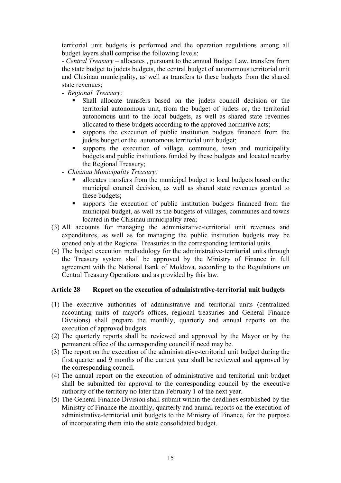territorial unit budgets is performed and the operation regulations among all budget layers shall comprise the following levels;

*- Central Treasury* – allocates , pursuant to the annual Budget Law, transfers from the state budget to judets budgets, the central budget of autonomous territorial unit and Chisinau municipality, as well as transfers to these budgets from the shared state revenues;

- *Regional Treasury;*
	- ß Shall allocate transfers based on the judets council decision or the territorial autonomous unit, from the budget of judets or, the territorial autonomous unit to the local budgets, as well as shared state revenues allocated to these budgets according to the approved normative acts;
	- ß supports the execution of public institution budgets financed from the judets budget or the autonomous territorial unit budget;
	- $\blacksquare$  supports the execution of village, commune, town and municipality budgets and public institutions funded by these budgets and located nearby the Regional Treasury;
- *Chisinau Municipality Treasury;*
	- ß allocates transfers from the municipal budget to local budgets based on the municipal council decision, as well as shared state revenues granted to these budgets;
	- supports the execution of public institution budgets financed from the municipal budget, as well as the budgets of villages, communes and towns located in the Chisinau municipality area;
- (3) All accounts for managing the administrative-territorial unit revenues and expenditures, as well as for managing the public institution budgets may be opened only at the Regional Treasuries in the corresponding territorial units.
- (4) The budget execution methodology for the administrative-territorial units through the Treasury system shall be approved by the Ministry of Finance in full agreement with the National Bank of Moldova, according to the Regulations on Central Treasury Operations and as provided by this law.

### **Article 28 Report on the execution of administrative-territorial unit budgets**

- (1) The executive authorities of administrative and territorial units (centralized accounting units of mayor's offices, regional treasuries and General Finance Divisions) shall prepare the monthly, quarterly and annual reports on the execution of approved budgets.
- (2) The quarterly reports shall be reviewed and approved by the Mayor or by the permanent office of the corresponding council if need may be.
- (3) The report on the execution of the administrative-territorial unit budget during the first quarter and 9 months of the current year shall be reviewed and approved by the corresponding council.
- (4) The annual report on the execution of administrative and territorial unit budget shall be submitted for approval to the corresponding council by the executive authority of the territory no later than February 1 of the next year.
- (5) The General Finance Division shall submit within the deadlines established by the Ministry of Finance the monthly, quarterly and annual reports on the execution of administrative-territorial unit budgets to the Ministry of Finance, for the purpose of incorporating them into the state consolidated budget.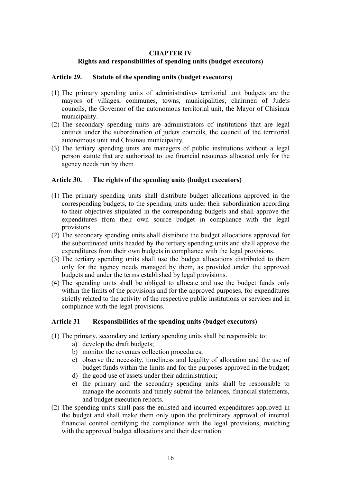### **CHAPTER IV**

## **Rights and responsibilities of spending units (budget executors)**

## **Article 29. Statute of the spending units (budget executors)**

- (1) The primary spending units of administrative- territorial unit budgets are the mayors of villages, communes, towns, municipalities, chairmen of Judets councils, the Governor of the autonomous territorial unit, the Mayor of Chisinau municipality.
- (2) The secondary spending units are administrators of institutions that are legal entities under the subordination of judets councils, the council of the territorial autonomous unit and Chisinau municipality.
- (3) The tertiary spending units are managers of public institutions without a legal person statute that are authorized to use financial resources allocated only for the agency needs run by them.

## **Article 30. The rights of the spending units (budget executors)**

- (1) The primary spending units shall distribute budget allocations approved in the corresponding budgets, to the spending units under their subordination according to their objectives stipulated in the corresponding budgets and shall approve the expenditures from their own source budget in compliance with the legal provisions.
- (2) The secondary spending units shall distribute the budget allocations approved for the subordinated units headed by the tertiary spending units and shall approve the expenditures from their own budgets in compliance with the legal provisions.
- (3) The tertiary spending units shall use the budget allocations distributed to them only for the agency needs managed by them, as provided under the approved budgets and under the terms established by legal provisions.
- (4) The spending units shall be obliged to allocate and use the budget funds only within the limits of the provisions and for the approved purposes, for expenditures strictly related to the activity of the respective public institutions or services and in compliance with the legal provisions.

# **Article 31 Responsibilities of the spending units (budget executors)**

- (1) The primary, secondary and tertiary spending units shall be responsible to:
	- a) develop the draft budgets;
	- b) monitor the revenues collection procedures;
	- c) observe the necessity, timeliness and legality of allocation and the use of budget funds within the limits and for the purposes approved in the budget;
	- d) the good use of assets under their administration;
	- e) the primary and the secondary spending units shall be responsible to manage the accounts and timely submit the balances, financial statements, and budget execution reports.
- (2) The spending units shall pass the enlisted and incurred expenditures approved in the budget and shall make them only upon the preliminary approval of internal financial control certifying the compliance with the legal provisions, matching with the approved budget allocations and their destination.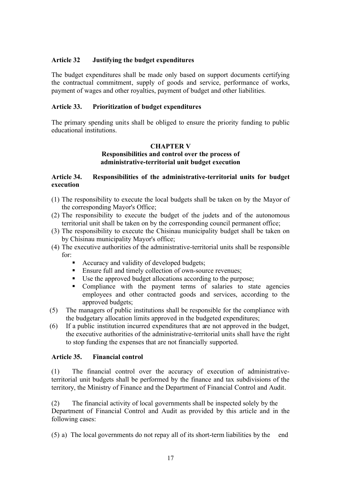## **Article 32 Justifying the budget expenditures**

The budget expenditures shall be made only based on support documents certifying the contractual commitment, supply of goods and service, performance of works, payment of wages and other royalties, payment of budget and other liabilities.

## **Article 33. Prioritization of budget expenditures**

The primary spending units shall be obliged to ensure the priority funding to public educational institutions.

## **CHAPTER V Responsibilities and control over the process of administrative-territorial unit budget execution**

## **Article 34. Responsibilities of the administrative-territorial units for budget execution**

- (1) The responsibility to execute the local budgets shall be taken on by the Mayor of the corresponding Mayor's Office;
- (2) The responsibility to execute the budget of the judets and of the autonomous territorial unit shall be taken on by the corresponding council permanent office;
- (3) The responsibility to execute the Chisinau municipality budget shall be taken on by Chisinau municipality Mayor's office;
- (4) The executive authorities of the administrative-territorial units shall be responsible for:
	- ß Accuracy and validity of developed budgets;
	- Ensure full and timely collection of own-source revenues;
	- Use the approved budget allocations according to the purpose;
	- Compliance with the payment terms of salaries to state agencies employees and other contracted goods and services, according to the approved budgets;
- (5) The managers of public institutions shall be responsible for the compliance with the budgetary allocation limits approved in the budgeted expenditures;
- (6) If a public institution incurred expenditures that are not approved in the budget, the executive authorities of the administrative-territorial units shall have the right to stop funding the expenses that are not financially supported.

### **Article 35. Financial control**

(1) The financial control over the accuracy of execution of administrativeterritorial unit budgets shall be performed by the finance and tax subdivisions of the territory, the Ministry of Finance and the Department of Financial Control and Audit.

(2) The financial activity of local governments shall be inspected solely by the Department of Financial Control and Audit as provided by this article and in the following cases:

(5) a) The local governments do not repay all of its short-term liabilities by the end